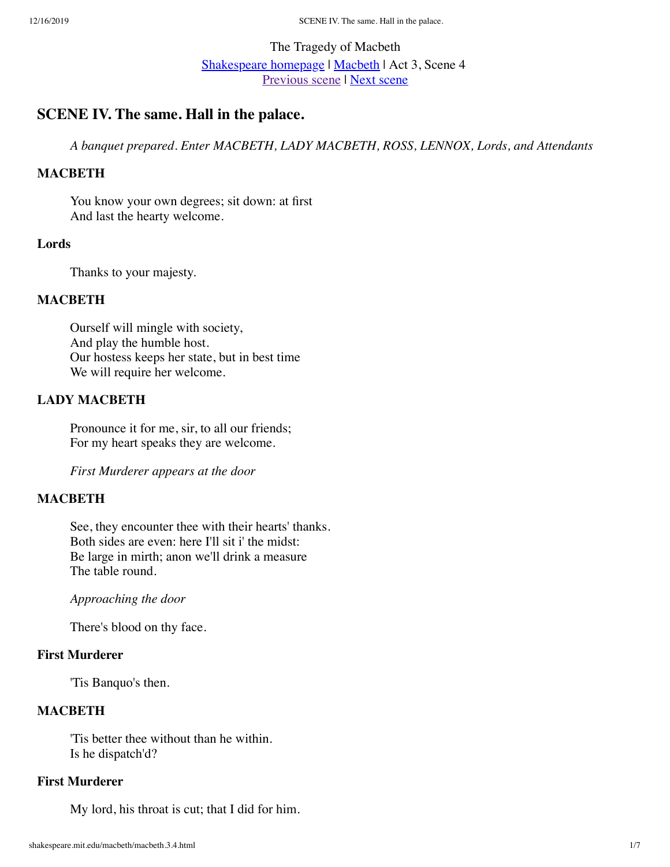# The Tragedy of Macbeth [Shakespeare homepage](http://shakespeare.mit.edu/Shakespeare) | [Macbeth](http://shakespeare.mit.edu/Shakespeare/macbeth/) | Act 3, Scene 4 [Previous scene](http://shakespeare.mit.edu/macbeth/macbeth.3.3.html) | [Next scene](http://shakespeare.mit.edu/macbeth/macbeth.3.5.html)

# **SCENE IV. The same. Hall in the palace.**

*A banquet prepared. Enter MACBETH, LADY MACBETH, ROSS, LENNOX, Lords, and Attendants*

## **MACBETH**

You know your own degrees; sit down: at first And last the hearty welcome.

#### **Lords**

Thanks to your majesty.

#### **MACBETH**

Ourself will mingle with society, And play the humble host. Our hostess keeps her state, but in best time We will require her welcome.

## **LADY MACBETH**

Pronounce it for me, sir, to all our friends; For my heart speaks they are welcome.

*First Murderer appears at the door*

#### **MACBETH**

See, they encounter thee with their hearts' thanks. Both sides are even: here I'll sit i' the midst: Be large in mirth; anon we'll drink a measure The table round.

*Approaching the door*

There's blood on thy face.

## **First Murderer**

'Tis Banquo's then.

## **MACBETH**

'Tis better thee without than he within. Is he dispatch'd?

#### **First Murderer**

My lord, his throat is cut; that I did for him.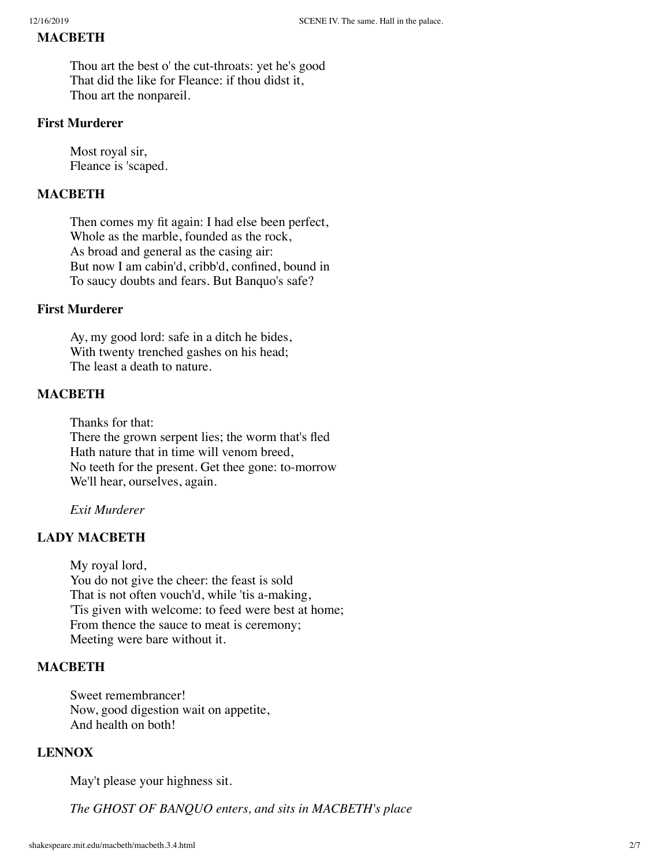#### **MACBETH**

Thou art the best o' the cut-throats: yet he's good That did the like for Fleance: if thou didst it, Thou art the nonpareil.

## **First Murderer**

Most royal sir, Fleance is 'scaped.

## **MACBETH**

Then comes my fit again: I had else been perfect, Whole as the marble, founded as the rock, As broad and general as the casing air: But now I am cabin'd, cribb'd, confined, bound in To saucy doubts and fears. But Banquo's safe?

## **First Murderer**

Ay, my good lord: safe in a ditch he bides, With twenty trenched gashes on his head; The least a death to nature.

### **MACBETH**

Thanks for that: There the grown serpent lies; the worm that's fled

Hath nature that in time will venom breed, No teeth for the present. Get thee gone: to-morrow We'll hear, ourselves, again.

*Exit Murderer*

## **LADY MACBETH**

My royal lord, You do not give the cheer: the feast is sold That is not often vouch'd, while 'tis a-making, 'Tis given with welcome: to feed were best at home; From thence the sauce to meat is ceremony; Meeting were bare without it.

## **MACBETH**

Sweet remembrancer! Now, good digestion wait on appetite, And health on both!

## **LENNOX**

May't please your highness sit.

*The GHOST OF BANQUO enters, and sits in MACBETH's place*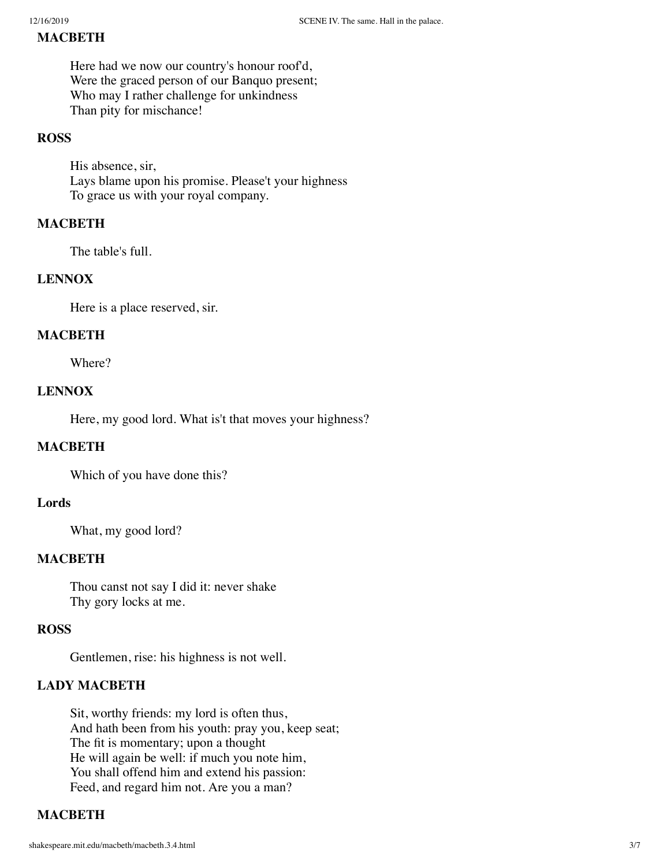### **MACBETH**

Here had we now our country's honour roof'd, Were the graced person of our Banquo present; Who may I rather challenge for unkindness Than pity for mischance!

#### **ROSS**

His absence, sir, Lays blame upon his promise. Please't your highness To grace us with your royal company.

### **MACBETH**

The table's full.

#### **LENNOX**

Here is a place reserved, sir.

#### **MACBETH**

Where?

## **LENNOX**

Here, my good lord. What is't that moves your highness?

### **MACBETH**

Which of you have done this?

#### **Lords**

What, my good lord?

#### **MACBETH**

Thou canst not say I did it: never shake Thy gory locks at me.

#### **ROSS**

Gentlemen, rise: his highness is not well.

#### **LADY MACBETH**

Sit, worthy friends: my lord is often thus, And hath been from his youth: pray you, keep seat; The fit is momentary; upon a thought He will again be well: if much you note him, You shall offend him and extend his passion: Feed, and regard him not. Are you a man?

## **MACBETH**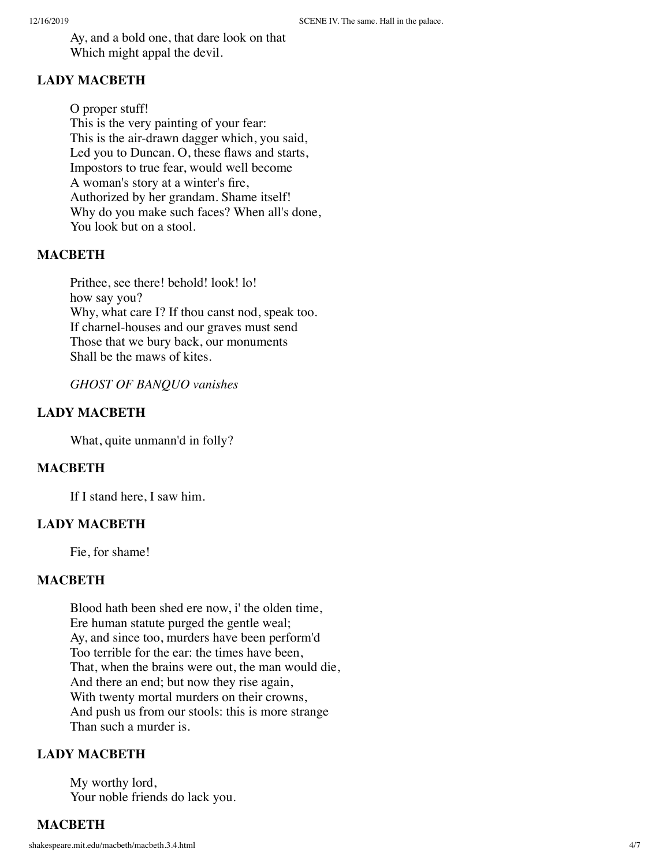Ay, and a bold one, that dare look on that Which might appal the devil.

## **LADY MACBETH**

O proper stuff! This is the very painting of your fear: This is the air-drawn dagger which, you said, Led you to Duncan. O, these flaws and starts, Impostors to true fear, would well become A woman's story at a winter's fire, Authorized by her grandam. Shame itself! Why do you make such faces? When all's done, You look but on a stool.

## **MACBETH**

Prithee, see there! behold! look! lo! how say you? Why, what care I? If thou canst nod, speak too. If charnel-houses and our graves must send Those that we bury back, our monuments Shall be the maws of kites.

*GHOST OF BANQUO vanishes*

## **LADY MACBETH**

What, quite unmann'd in folly?

## **MACBETH**

If I stand here, I saw him.

## **LADY MACBETH**

Fie, for shame!

## **MACBETH**

Blood hath been shed ere now, i' the olden time, Ere human statute purged the gentle weal; Ay, and since too, murders have been perform'd Too terrible for the ear: the times have been, That, when the brains were out, the man would die, And there an end; but now they rise again, With twenty mortal murders on their crowns, And push us from our stools: this is more strange Than such a murder is.

## **LADY MACBETH**

My worthy lord, Your noble friends do lack you.

## **MACBETH**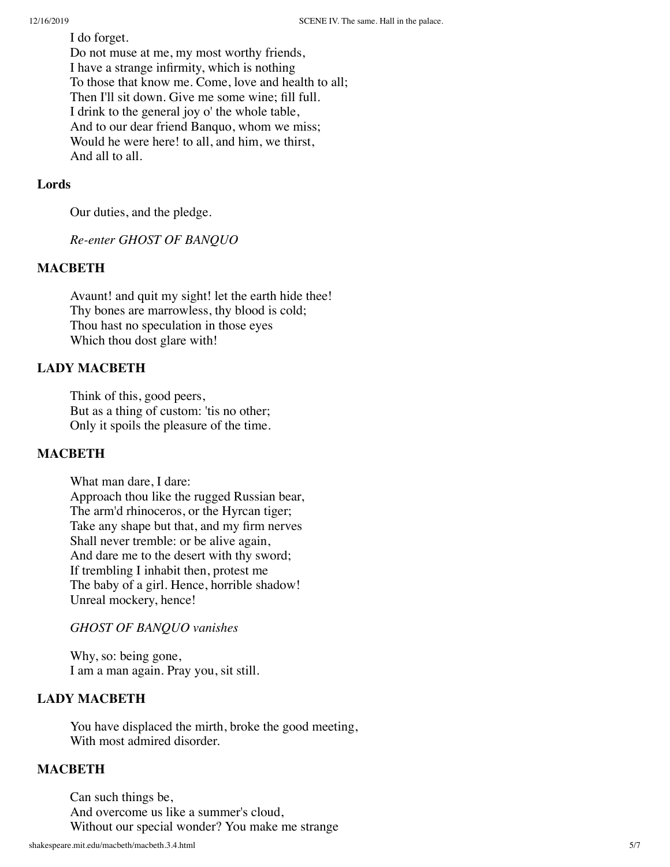I do forget. Do not muse at me, my most worthy friends, I have a strange infirmity, which is nothing To those that know me. Come, love and health to all; Then I'll sit down. Give me some wine; fill full. I drink to the general joy o' the whole table, And to our dear friend Banquo, whom we miss; Would he were here! to all, and him, we thirst, And all to all.

## **Lords**

Our duties, and the pledge.

*Re-enter GHOST OF BANQUO*

## **MACBETH**

Avaunt! and quit my sight! let the earth hide thee! Thy bones are marrowless, thy blood is cold; Thou hast no speculation in those eyes Which thou dost glare with!

## **LADY MACBETH**

Think of this, good peers, But as a thing of custom: 'tis no other; Only it spoils the pleasure of the time.

## **MACBETH**

What man dare, I dare: Approach thou like the rugged Russian bear, The arm'd rhinoceros, or the Hyrcan tiger; Take any shape but that, and my firm nerves Shall never tremble: or be alive again, And dare me to the desert with thy sword; If trembling I inhabit then, protest me The baby of a girl. Hence, horrible shadow! Unreal mockery, hence!

#### *GHOST OF BANQUO vanishes*

Why, so: being gone, I am a man again. Pray you, sit still.

## **LADY MACBETH**

You have displaced the mirth, broke the good meeting, With most admired disorder.

#### **MACBETH**

Can such things be, And overcome us like a summer's cloud, Without our special wonder? You make me strange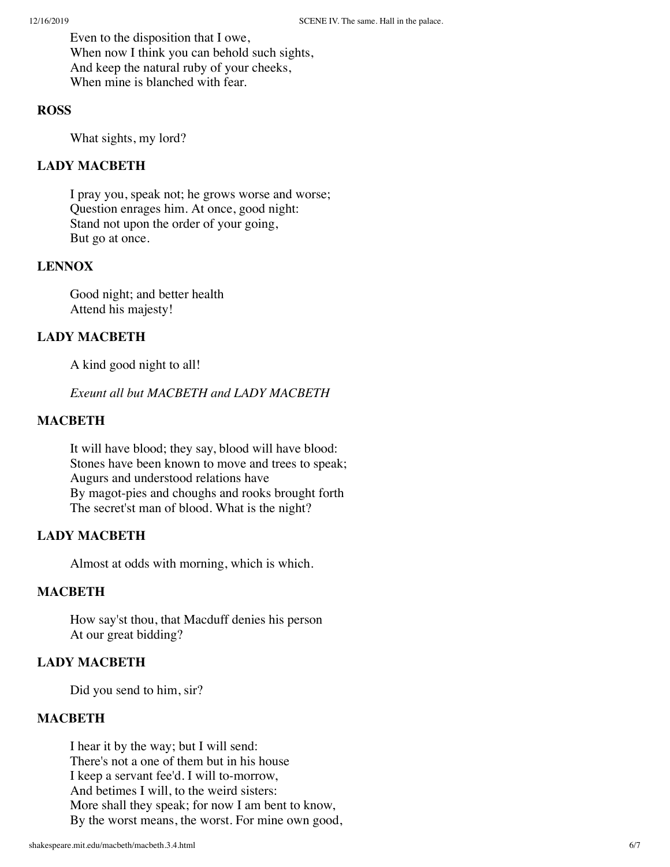Even to the disposition that I owe, When now I think you can behold such sights, And keep the natural ruby of your cheeks, When mine is blanched with fear.

## **ROSS**

What sights, my lord?

## **LADY MACBETH**

I pray you, speak not; he grows worse and worse; Question enrages him. At once, good night: Stand not upon the order of your going, But go at once.

## **LENNOX**

Good night; and better health Attend his majesty!

## **LADY MACBETH**

A kind good night to all!

*Exeunt all but MACBETH and LADY MACBETH*

## **MACBETH**

It will have blood; they say, blood will have blood: Stones have been known to move and trees to speak; Augurs and understood relations have By magot-pies and choughs and rooks brought forth The secret'st man of blood. What is the night?

## **LADY MACBETH**

Almost at odds with morning, which is which.

## **MACBETH**

How say'st thou, that Macduff denies his person At our great bidding?

## **LADY MACBETH**

Did you send to him, sir?

## **MACBETH**

I hear it by the way; but I will send: There's not a one of them but in his house I keep a servant fee'd. I will to-morrow, And betimes I will, to the weird sisters: More shall they speak; for now I am bent to know, By the worst means, the worst. For mine own good,